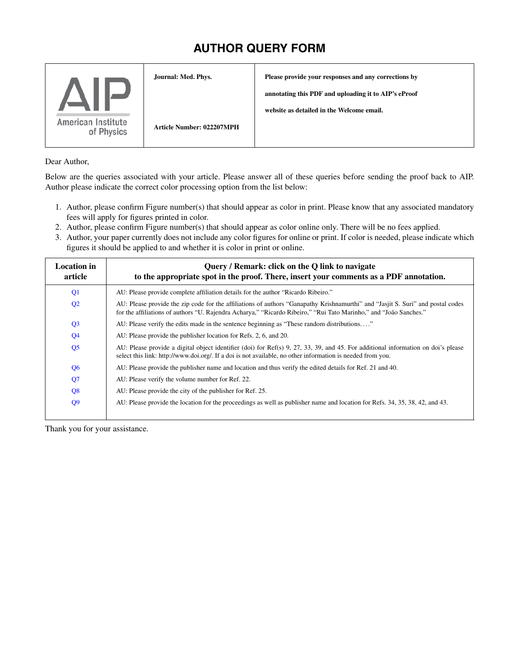# **AUTHOR QUERY FORM**

|                                  | Journal: Med. Phys.              | Please provide your responses and any corrections by<br>annotating this PDF and uploading it to AIP's eProof<br>website as detailed in the Welcome email. |
|----------------------------------|----------------------------------|-----------------------------------------------------------------------------------------------------------------------------------------------------------|
| American Institute<br>of Physics | <b>Article Number: 022207MPH</b> |                                                                                                                                                           |

Dear Author,

Below are the queries associated with your article. Please answer all of these queries before sending the proof back to AIP. Author please indicate the correct color processing option from the list below:

- 1. Author, please confirm Figure number(s) that should appear as color in print. Please know that any associated mandatory fees will apply for figures printed in color.
- 2. Author, please confirm Figure number(s) that should appear as color online only. There will be no fees applied.
- 3. Author, your paper currently does not include any color figures for online or print. If color is needed, please indicate which figures it should be applied to and whether it is color in print or online.

| Location in<br>article | Query / Remark: click on the Q link to navigate<br>to the appropriate spot in the proof. There, insert your comments as a PDF annotation.                                                                                                            |
|------------------------|------------------------------------------------------------------------------------------------------------------------------------------------------------------------------------------------------------------------------------------------------|
| $\mathbf{Q}$ 1         | AU: Please provide complete affiliation details for the author "Ricardo Ribeiro."                                                                                                                                                                    |
| Q <sub>2</sub>         | AU: Please provide the zip code for the affiliations of authors "Ganapathy Krishnamurthi" and "Jasjit S. Suri" and postal codes<br>for the affiliations of authors "U. Rajendra Acharya," "Ricardo Ribeiro," "Rui Tato Marinho," and "João Sanches." |
| Q <sub>3</sub>         | AU: Please verify the edits made in the sentence beginning as "These random distributions"                                                                                                                                                           |
| Q <sub>4</sub>         | AU: Please provide the publisher location for Refs. 2, 6, and 20.                                                                                                                                                                                    |
| Q <sub>5</sub>         | AU: Please provide a digital object identifier (doi) for Ref(s) 9, 27, 33, 39, and 45. For additional information on doi's please<br>select this link: http://www.doi.org/. If a doi is not available, no other information is needed from you.      |
| Q <sub>6</sub>         | AU: Please provide the publisher name and location and thus verify the edited details for Ref. 21 and 40.                                                                                                                                            |
| Q7                     | AU: Please verify the volume number for Ref. 22.                                                                                                                                                                                                     |
| $\overline{Q8}$        | AU: Please provide the city of the publisher for Ref. 25.                                                                                                                                                                                            |
| Q <sub>9</sub>         | AU: Please provide the location for the proceedings as well as publisher name and location for Refs. 34, 35, 38, 42, and 43.                                                                                                                         |

Thank you for your assistance.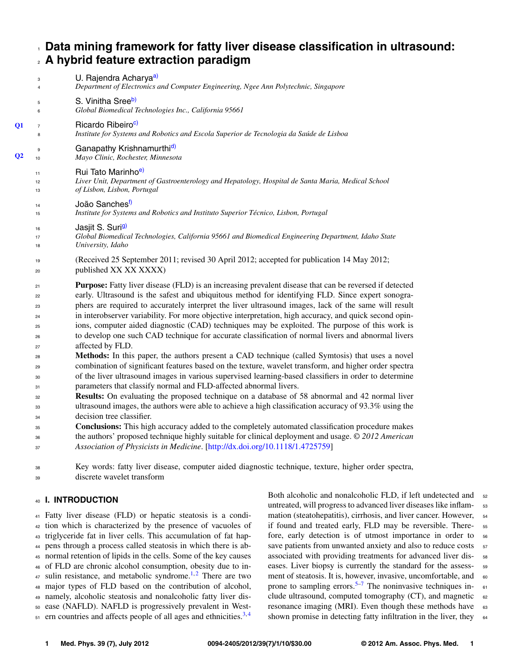## **Data mining framework for fatty liver disease classification in ultrasound:** 1 **A hybrid feature extraction paradigm** 2

|                | 3<br>$\overline{4}$ | U. Rajendra Acharya <sup>a)</sup><br>Department of Electronics and Computer Engineering, Ngee Ann Polytechnic, Singapore                                                                                      |
|----------------|---------------------|---------------------------------------------------------------------------------------------------------------------------------------------------------------------------------------------------------------|
|                | 5<br>6              | S. Vinitha Sreeb)<br>Global Biomedical Technologies Inc., California 95661                                                                                                                                    |
| Q <sub>1</sub> | $\overline{7}$<br>8 | Ricardo Ribeiro <sup>c)</sup><br>Institute for Systems and Robotics and Escola Superior de Tecnologia da Saúde de Lisboa                                                                                      |
| $\mathbf{O}2$  | g<br>10             | Ganapathy Krishnamurthid)<br>Mayo Clinic, Rochester, Minnesota                                                                                                                                                |
|                | 11<br>12<br>13      | Rui Tato Marinho <sup>e)</sup><br>Liver Unit, Department of Gastroenterology and Hepatology, Hospital de Santa Maria, Medical School<br>of Lisbon, Lisbon, Portugal                                           |
|                | 14<br>15            | João Sanches <sup>f)</sup><br>Institute for Systems and Robotics and Instituto Superior Técnico, Lisbon, Portugal                                                                                             |
|                | 16<br>17<br>18      | Jasjit S. Suri <sup>g)</sup><br>Global Biomedical Technologies, California 95661 and Biomedical Engineering Department, Idaho State<br>University, Idaho                                                      |
|                | 19<br>20            | (Received 25 September 2011; revised 30 April 2012; accepted for publication 14 May 2012;<br>published XX XX XXXX)                                                                                            |
|                |                     | <b>Purpose:</b> Fatty liver disease (FLD) is an increasing prevalent disease that can be reversed if detected                                                                                                 |
|                | 21<br>22            |                                                                                                                                                                                                               |
|                | 23                  | early. Ultrasound is the safest and ubiquitous method for identifying FLD. Since expert sonogra-<br>phers are required to accurately interpret the liver ultrasound images, lack of the same will result      |
|                | 24                  | in interobserver variability. For more objective interpretation, high accuracy, and quick second opin-                                                                                                        |
|                | 25                  | ions, computer aided diagnostic (CAD) techniques may be exploited. The purpose of this work is                                                                                                                |
|                | 26                  | to develop one such CAD technique for accurate classification of normal livers and abnormal livers                                                                                                            |
|                | 27                  | affected by FLD.                                                                                                                                                                                              |
|                | 28                  | Methods: In this paper, the authors present a CAD technique (called Symtosis) that uses a novel                                                                                                               |
|                | 29                  | combination of significant features based on the texture, wavelet transform, and higher order spectra                                                                                                         |
|                | 30                  | of the liver ultrasound images in various supervised learning-based classifiers in order to determine                                                                                                         |
|                | 31                  | parameters that classify normal and FLD-affected abnormal livers.                                                                                                                                             |
|                | 32<br>33            | <b>Results:</b> On evaluating the proposed technique on a database of 58 abnormal and 42 normal liver                                                                                                         |
|                | 34                  | ultrasound images, the authors were able to achieve a high classification accuracy of 93.3% using the<br>decision tree classifier.                                                                            |
|                | 35                  |                                                                                                                                                                                                               |
|                | 36                  | <b>Conclusions:</b> This high accuracy added to the completely automated classification procedure makes<br>the authors' proposed technique highly suitable for clinical deployment and usage. © 2012 American |
|                | 37                  | Association of Physicists in Medicine. [http://dx.doi.org/10.1118/1.4725759]                                                                                                                                  |
|                | 38                  | Key words: fatty liver disease, computer aided diagnostic technique, texture, higher order spectra,<br>discrete wavelet transform                                                                             |

### <sup>40</sup> **I. INTRODUCTION**

 Fatty liver disease (FLD) or hepatic steatosis is a condi- tion which is characterized by the presence of vacuoles of triglyceride fat in liver cells. This accumulation of fat hap- pens through a process called steatosis in which there is ab- normal retention of lipids in the cells. Some of the key causes of FLD are chronic alcohol consumption, obesity due to in- sulin resistance, and metabolic syndrome.<sup>1,2</sup> There are two major types of FLD based on the contribution of alcohol, namely, alcoholic steatosis and nonalcoholic fatty liver dis- ease (NAFLD). NAFLD is progressively prevalent in West-ern countries and affects people of all ages and ethnicities.<sup>3,4</sup>

Both alcoholic and nonalcoholic FLD, if left undetected and 52 untreated, will progress to advanced liver diseases like inflam- <sup>53</sup> mation (steatohepatitis), cirrhosis, and liver cancer. However, 54 if found and treated early, FLD may be reversible. There- <sup>55</sup> fore, early detection is of utmost importance in order to  $56$ save patients from unwanted anxiety and also to reduce costs  $57$ associated with providing treatments for advanced liver dis- <sup>58</sup> eases. Liver biopsy is currently the standard for the assess- <sup>59</sup> ment of steatosis. It is, however, invasive, uncomfortable, and  $_{60}$ prone to sampling errors.<sup>5–7</sup> The noninvasive techniques include ultrasound, computed tomography (CT), and magnetic  $_{62}$ resonance imaging (MRI). Even though these methods have  $\overline{63}$ shown promise in detecting fatty infiltration in the liver, they  $64$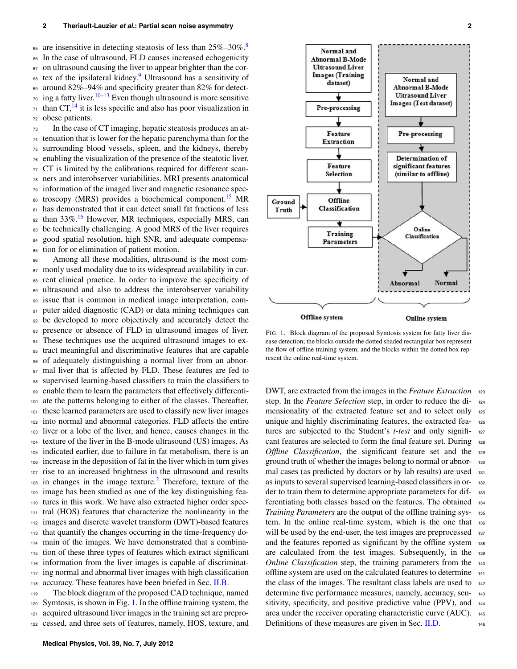are insensitive in detecting steatosis of less than  $25\% - 30\%$ .<sup>8</sup> 65 <sup>66</sup> In the case of ultrasound, FLD causes increased echogenicity <sup>67</sup> on ultrasound causing the liver to appear brighter than the cor-<sup>68</sup> tex of the ipsilateral kidney.<sup>9</sup> Ultrasound has a sensitivity of <sup>69</sup> around 82%–94% and specificity greater than 82% for detect-<sup>70</sup> ing a fatty liver.<sup>10–13</sup> Even though ultrasound is more sensitive  $\tau_1$  than CT,<sup>14</sup> it is less specific and also has poor visualization in <sup>72</sup> obese patients.

 In the case of CT imaging, hepatic steatosis produces an at- tenuation that is lower for the hepatic parenchyma than for the surrounding blood vessels, spleen, and the kidneys, thereby enabling the visualization of the presence of the steatotic liver. CT is limited by the calibrations required for different scan- ners and interobserver variabilities. MRI presents anatomical information of the imaged liver and magnetic resonance spec-80 troscopy (MRS) provides a biochemical component.<sup>15</sup> MR has demonstrated that it can detect small fat fractions of less <sup>82</sup> than 33%.<sup>16</sup> However, MR techniques, especially MRS, can 83 be technically challenging. A good MRS of the liver requires good spatial resolution, high SNR, and adequate compensa-tion for or elimination of patient motion.

 Among all these modalities, ultrasound is the most com-87 monly used modality due to its widespread availability in cur- rent clinical practice. In order to improve the specificity of ultrasound and also to address the interobserver variability issue that is common in medical image interpretation, com- puter aided diagnostic (CAD) or data mining techniques can 92 be developed to more objectively and accurately detect the presence or absence of FLD in ultrasound images of liver. 94 These techniques use the acquired ultrasound images to ex- tract meaningful and discriminative features that are capable of adequately distinguishing a normal liver from an abnor-97 mal liver that is affected by FLD. These features are fed to supervised learning-based classifiers to train the classifiers to enable them to learn the parameters that effectively differenti- ate the patterns belonging to either of the classes. Thereafter, these learned parameters are used to classify new liver images into normal and abnormal categories. FLD affects the entire liver or a lobe of the liver, and hence, causes changes in the texture of the liver in the B-mode ultrasound (US) images. As indicated earlier, due to failure in fat metabolism, there is an increase in the deposition of fat in the liver which in turn gives rise to an increased brightness in the ultrasound and results 108 in changes in the image texture.<sup>2</sup> Therefore, texture of the image has been studied as one of the key distinguishing fea- tures in this work. We have also extracted higher order spec- tral (HOS) features that characterize the nonlinearity in the images and discrete wavelet transform (DWT)-based features that quantify the changes occurring in the time-frequency do- main of the images. We have demonstrated that a combina- tion of these three types of features which extract significant information from the liver images is capable of discriminat- ing normal and abnormal liver images with high classification 118 accuracy. These features have been briefed in Sec. II.B.

 The block diagram of the proposed CAD technique, named Symtosis, is shown in Fig. 1. In the offline training system, the acquired ultrasound liver images in the training set are prepro-cessed, and three sets of features, namely, HOS, texture, and



FIG. 1. Block diagram of the proposed Symtosis system for fatty liver disease detection; the blocks outside the dotted shaded rectangular box represent the flow of offline training system, and the blocks within the dotted box represent the online real-time system.

DWT, are extracted from the images in the *Feature Extraction* 123 step. In the *Feature Selection* step, in order to reduce the di- <sup>124</sup> mensionality of the extracted feature set and to select only <sup>125</sup> unique and highly discriminating features, the extracted fea- <sup>126</sup> tures are subjected to the Student's *t-test* and only significant features are selected to form the final feature set. During 128 *Offline Classification*, the significant feature set and the 129 ground truth of whether the images belong to normal or abnor- <sup>130</sup> mal cases (as predicted by doctors or by lab results) are used 131 as inputs to several supervised learning-based classifiers in or- <sup>132</sup> der to train them to determine appropriate parameters for dif-<br>133 ferentiating both classes based on the features. The obtained <sup>134</sup> *Training Parameters* are the output of the offline training system. In the online real-time system, which is the one that <sup>136</sup> will be used by the end-user, the test images are preprocessed 137 and the features reported as significant by the offline system 138 are calculated from the test images. Subsequently, in the <sup>139</sup> *Online Classification* step, the training parameters from the 140 offline system are used on the calculated features to determine <sup>141</sup> the class of the images. The resultant class labels are used to 142 determine five performance measures, namely, accuracy, sen- <sup>143</sup> sitivity, specificity, and positive predictive value (PPV), and 144 area under the receiver operating characteristic curve (AUC). <sup>145</sup> Definitions of these measures are given in Sec. II.D. 146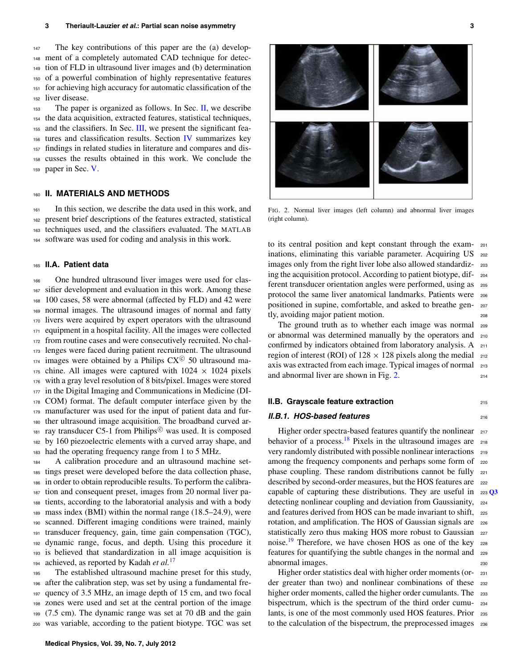#### **3 Theriault-Lauzier et al.: Partial scan noise asymmetry 3**

 The key contributions of this paper are the (a) develop- ment of a completely automated CAD technique for detec- tion of FLD in ultrasound liver images and (b) determination of a powerful combination of highly representative features for achieving high accuracy for automatic classification of the liver disease.

 The paper is organized as follows. In Sec. II, we describe the data acquisition, extracted features, statistical techniques, and the classifiers. In Sec. III, we present the significant fea- tures and classification results. Section IV summarizes key findings in related studies in literature and compares and dis- cusses the results obtained in this work. We conclude the paper in Sec. V.

#### <sup>160</sup> **II. MATERIALS AND METHODS**

 In this section, we describe the data used in this work, and present brief descriptions of the features extracted, statistical techniques used, and the classifiers evaluated. The MATLAB software was used for coding and analysis in this work.

#### <sup>165</sup> **II.A. Patient data**

 One hundred ultrasound liver images were used for clas- sifier development and evaluation in this work. Among these 100 cases, 58 were abnormal (affected by FLD) and 42 were normal images. The ultrasound images of normal and fatty livers were acquired by expert operators with the ultrasound equipment in a hospital facility. All the images were collected from routine cases and were consecutively recruited. No chal- lenges were faced during patient recruitment. The ultrasound images were obtained by a Philips CX<sup>©</sup> 50 ultrasound ma- chine. All images were captured with  $1024 \times 1024$  pixels with a gray level resolution of 8 bits/pixel. Images were stored in the Digital Imaging and Communications in Medicine (DI- COM) format. The default computer interface given by the manufacturer was used for the input of patient data and fur- ther ultrasound image acquisition. The broadband curved ar-181 ray transducer C5-1 from Philips<sup> $©$ </sup> was used. It is composed by 160 piezoelectric elements with a curved array shape, and had the operating frequency range from 1 to 5 MHz.

 A calibration procedure and an ultrasound machine set- tings preset were developed before the data collection phase, in order to obtain reproducible results. To perform the calibra- tion and consequent preset, images from 20 normal liver pa- tients, according to the laboratorial analysis and with a body mass index (BMI) within the normal range (18.5–24.9), were scanned. Different imaging conditions were trained, mainly transducer frequency, gain, time gain compensation (TGC), dynamic range, focus, and depth. Using this procedure it is believed that standardization in all image acquisition is achieved, as reported by Kadah *et al.*<sup>17</sup> 194

 The established ultrasound machine preset for this study, after the calibration step, was set by using a fundamental fre- quency of 3.5 MHz, an image depth of 15 cm, and two focal zones were used and set at the central portion of the image (7.5 cm). The dynamic range was set at 70 dB and the gain was variable, according to the patient biotype. TGC was set



FIG. 2. Normal liver images (left column) and abnormal liver images (right column).

to its central position and kept constant through the exam- <sup>201</sup> inations, eliminating this variable parameter. Acquiring US 202 images only from the right liver lobe also allowed standardiz- <sup>203</sup> ing the acquisition protocol. According to patient biotype, dif- <sup>204</sup> ferent transducer orientation angles were performed, using as <sup>205</sup> protocol the same liver anatomical landmarks. Patients were <sup>206</sup> positioned in supine, comfortable, and asked to breathe gen- <sup>207</sup> tly, avoiding major patient motion.

The ground truth as to whether each image was normal 209 or abnormal was determined manually by the operators and <sup>210</sup> confirmed by indicators obtained from laboratory analysis. A 211 region of interest (ROI) of  $128 \times 128$  pixels along the medial 212 axis was extracted from each image. Typical images of normal <sup>213</sup> and abnormal liver are shown in Fig.  $2$ . 214

#### **II.B. Gravscale feature extraction** 215

#### **II.B.1. HOS-based features** <sup>216</sup>

Higher order spectra-based features quantify the nonlinear 217 behavior of a process.<sup>18</sup> Pixels in the ultrasound images are  $_{218}$ very randomly distributed with possible nonlinear interactions <sup>219</sup> among the frequency components and perhaps some form of 220 phase coupling. These random distributions cannot be fully <sup>221</sup> described by second-order measures, but the HOS features are 222 capable of capturing these distributions. They are useful in  $_{223}$   $Q3$ detecting nonlinear coupling and deviation from Gaussianity, <sup>224</sup> and features derived from HOS can be made invariant to shift, 225 rotation, and amplification. The HOS of Gaussian signals are <sup>226</sup> statistically zero thus making HOS more robust to Gaussian 227 noise.<sup>19</sup> Therefore, we have chosen HOS as one of the key  $_{228}$ features for quantifying the subtle changes in the normal and 229 abnormal images.

Higher order statistics deal with higher order moments (order greater than two) and nonlinear combinations of these 232 higher order moments, called the higher order cumulants. The 233 bispectrum, which is the spectrum of the third order cumu- <sup>234</sup> lants, is one of the most commonly used HOS features. Prior <sup>235</sup> to the calculation of the bispectrum, the preprocessed images 236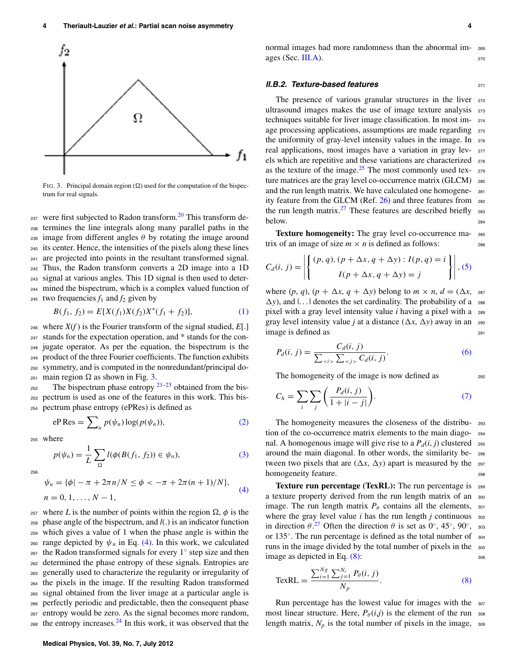

FIG. 3. Principal domain region  $(\Omega)$  used for the computation of the bispectrum for real signals.

237 were first subjected to Radon transform.<sup>20</sup> This transform de- termines the line integrals along many parallel paths in the image from different angles  $\theta$  by rotating the image around its center. Hence, the intensities of the pixels along these lines are projected into points in the resultant transformed signal. Thus, the Radon transform converts a 2D image into a 1D signal at various angles. This 1D signal is then used to deter- mined the bispectrum, which is a complex valued function of <sup>245</sup> two frequencies  $f_1$  and  $f_2$  given by

$$
B(f_1, f_2) = E[X(f_1)X(f_2)X^*(f_1 + f_2)], \tag{1}
$$

<sup>246</sup> where  $X(f)$  is the Fourier transform of the signal studied,  $E[.]$  stands for the expectation operation, and \* stands for the con- jugate operator. As per the equation, the bispectrum is the product of the three Fourier coefficients. The function exhibits symmetry, and is computed in the nonredundant/principal do- $_{251}$  main region  $\Omega$  as shown in Fig. 3.

 $_{252}$  The bispectrum phase entropy  $21-23$  obtained from the bis-<sup>253</sup> pectrum is used as one of the features in this work. This bis-<sup>254</sup> pectrum phase entropy (ePRes) is defined as

$$
eP Res = \sum_{n} p(\psi_n) \log(p(\psi_n)), \tag{2}
$$

<sup>255</sup> where

256

$$
p(\psi_n) = \frac{1}{L} \sum_{\Omega} l(\phi(B(f_1, f_2)) \in \psi_n), \tag{3}
$$

(4)

$$
\psi_n = \{ \phi \mid -\pi + 2\pi n / N \le \phi < -\pi + 2\pi (n+1) / N \},
$$
  

$$
n = 0, 1, ..., N - 1,
$$

 where *L* is the number of points within the region  $\Omega$ , φ is the phase angle of the bispectrum, and *l*(.) is an indicator function which gives a value of 1 when the phase angle is within the <sup>260</sup> range depicted by  $\psi_n$  in Eq. (4). In this work, we calculated  $_{261}$  the Radon transformed signals for every 1 $^{\circ}$  step size and then determined the phase entropy of these signals. Entropies are generally used to characterize the regularity or irregularity of the pixels in the image. If the resulting Radon transformed signal obtained from the liver image at a particular angle is perfectly periodic and predictable, then the consequent phase entropy would be zero. As the signal becomes more random, the entropy increases.<sup>24</sup> In this work, it was observed that the

normal images had more randomness than the abnormal im- <sup>269</sup>  $\text{ages (Sec. III.A)}.$ 

#### **II.B.2. Texture-based features** <sup>271</sup>

The presence of various granular structures in the liver  $272$ ultrasound images makes the use of image texture analysis 273 techniques suitable for liver image classification. In most im- <sup>274</sup> age processing applications, assumptions are made regarding 275 the uniformity of gray-level intensity values in the image. In <sup>276</sup> real applications, most images have a variation in gray lev- <sup>277</sup> els which are repetitive and these variations are characterized 278 as the texture of the image.<sup>25</sup> The most commonly used tex- $_{279}$ ture matrices are the gray level co-occurrence matrix (GLCM) <sup>280</sup> and the run length matrix. We have calculated one homogene- <sup>281</sup> ity feature from the GLCM (Ref.  $26$ ) and three features from 282 the run length matrix.<sup>27</sup> These features are described briefly  $_{283}$ below. 284

**Texture homogeneity:** The gray level co-occurrence ma- <sup>285</sup> trix of an image of size  $m \times n$  is defined as follows:

$$
C_d(i, j) = \left| \left\{ \begin{aligned} (p, q), (p + \Delta x, q + \Delta y) : I(p, q) = i \\ I(p + \Delta x, q + \Delta y) = j \end{aligned} \right\} \right|, (5)
$$

where  $(p, q)$ ,  $(p + \Delta x, q + \Delta y)$  belong to  $m \times n, d = (\Delta x, 287)$  $\Delta y$ ), and  $\ldots$  denotes the set cardinality. The probability of a 288 pixel with a gray level intensity value *i* having a pixel with a <sup>289</sup> gray level intensity value *j* at a distance  $(\Delta x, \Delta y)$  away in an 290 image is defined as 291

$$
P_d(i, j) = \frac{C_d(i, j)}{\sum_{< i > \sum_{< j > } C_d(i, j)}.
$$
\n(6)

The homogeneity of the image is now defined as 292

$$
C_h = \sum_{i} \sum_{j} \left( \frac{P_d(i,j)}{1+|i-j|} \right). \tag{7}
$$

The homogeneity measures the closeness of the distribu- <sup>293</sup> tion of the co-occurrence matrix elements to the main diago- <sup>294</sup> nal. A homogenous image will give rise to a  $P_d(i, j)$  clustered 295 around the main diagonal. In other words, the similarity be- <sup>296</sup> tween two pixels that are  $(\Delta x, \Delta y)$  apart is measured by the 297 homogeneity feature.

**Texture run percentage (TexRL):** The run percentage is 299 a texture property derived from the run length matrix of an 300 image. The run length matrix  $P_{\theta}$  contains all the elements, 301 where the gray level value  $i$  has the run length  $j$  continuous  $302$ in direction  $\theta$ <sup>27</sup> Often the direction  $\theta$  is set as 0°, 45°, 90°, 303 or 135°. The run percentage is defined as the total number of 304 runs in the image divided by the total number of pixels in the <sup>305</sup> image as depicted in Eq.  $(8)$ :  $306$ 

$$
\text{TextRL} = \frac{\sum_{i=1}^{N_g} \sum_{j=1}^{N_r} P_{\theta}(i, j)}{N_p}.
$$
 (8)

Run percentage has the lowest value for images with the 307 most linear structure. Here,  $P_{\theta}(i,j)$  is the element of the run 308 length matrix,  $N_p$  is the total number of pixels in the image,  $\frac{309}{200}$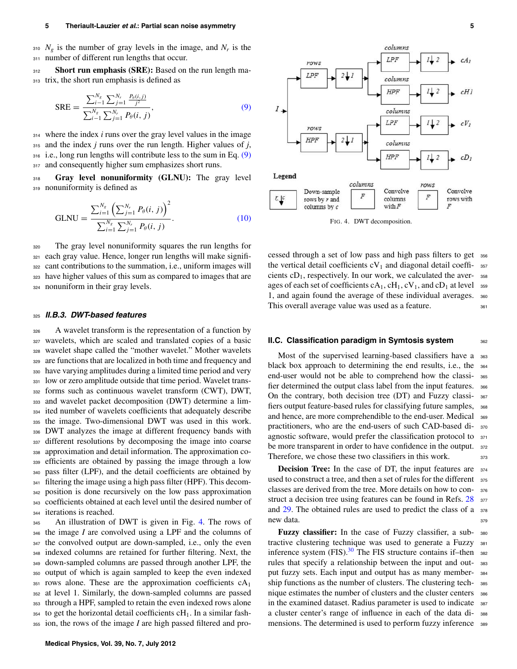$N_g$  is the number of gray levels in the image, and  $N_r$  is the 311 number of different run lengths that occur.

**Short run emphasis (SRE):** Based on the run length ma-<sup>313</sup> trix, the short run emphasis is defined as

$$
SRE = \frac{\sum_{i=1}^{N_s} \sum_{j=1}^{N_r} \frac{P_{\theta}(i,j)}{j^2}}{\sum_{i=1}^{N_s} \sum_{j=1}^{N_r} P_{\theta}(i,j)},
$$
\n(9)

 where the index *i* runs over the gray level values in the image and the index *j* runs over the run length. Higher values of *j*, i.e., long run lengths will contribute less to the sum in Eq. (9) 317 and consequently higher sum emphasizes short runs.

<sup>318</sup> **Gray level nonuniformity (GLNU):** The gray level <sup>319</sup> nonuniformity is defined as

GLNU = 
$$
\frac{\sum_{i=1}^{N_s} \left( \sum_{j=1}^{N_r} P_{\theta}(i, j) \right)^2}{\sum_{i=1}^{N_s} \sum_{j=1}^{N_r} P_{\theta}(i, j)}.
$$
 (10)

 The gray level nonuniformity squares the run lengths for each gray value. Hence, longer run lengths will make signifi- cant contributions to the summation, i.e., uniform images will have higher values of this sum as compared to images that are nonuniform in their gray levels.

#### <sup>325</sup> **II.B.3. DWT-based features**

 A wavelet transform is the representation of a function by wavelets, which are scaled and translated copies of a basic wavelet shape called the "mother wavelet." Mother wavelets are functions that are localized in both time and frequency and have varying amplitudes during a limited time period and very low or zero amplitude outside that time period. Wavelet trans- forms such as continuous wavelet transform (CWT), DWT, and wavelet packet decomposition (DWT) determine a lim- ited number of wavelets coefficients that adequately describe the image. Two-dimensional DWT was used in this work. DWT analyzes the image at different frequency bands with 337 different resolutions by decomposing the image into coarse approximation and detail information. The approximation co- efficients are obtained by passing the image through a low pass filter (LPF), and the detail coefficients are obtained by filtering the image using a high pass filter (HPF). This decom- position is done recursively on the low pass approximation coefficients obtained at each level until the desired number of iterations is reached.

 An illustration of DWT is given in Fig. 4. The rows of the image *I* are convolved using a LPF and the columns of the convolved output are down-sampled, i.e., only the even indexed columns are retained for further filtering. Next, the down-sampled columns are passed through another LPF, the output of which is again sampled to keep the even indexed rows alone. These are the approximation coefficients  $cA_1$  at level 1. Similarly, the down-sampled columns are passed through a HPF, sampled to retain the even indexed rows alone to get the horizontal detail coefficients  $cH_1$ . In a similar fash-ion, the rows of the image *I* are high passed filtered and pro-



FIG. 4. DWT decomposition.

cessed through a set of low pass and high pass filters to get <sup>356</sup> the vertical detail coefficients  $cV_1$  and diagonal detail coeffi- 357 cients  $cD_1$ , respectively. In our work, we calculated the aver- 358 ages of each set of coefficients  $cA_1$ ,  $cH_1$ ,  $cV_1$ , and  $cD_1$  at level 359 1, and again found the average of these individual averages. <sup>360</sup> This overall average value was used as a feature. 361

#### **II.C. Classification paradigm in Symtosis system** 362

Most of the supervised learning-based classifiers have a 363 black box approach to determining the end results, i.e., the 364 end-user would not be able to comprehend how the classi- <sup>365</sup> fier determined the output class label from the input features. <sup>366</sup> On the contrary, both decision tree (DT) and Fuzzy classi- <sup>367</sup> fiers output feature-based rules for classifying future samples, <sup>368</sup> and hence, are more comprehendible to the end-user. Medical 369 practitioners, who are the end-users of such CAD-based di- 370 agnostic software, would prefer the classification protocol to <sup>371</sup> be more transparent in order to have confidence in the output. 372 Therefore, we chose these two classifiers in this work. 373

**Decision Tree:** In the case of DT, the input features are  $374$ used to construct a tree, and then a set of rules for the different 375 classes are derived from the tree. More details on how to con- <sup>376</sup> struct a decision tree using features can be found in Refs. 28 377 and 29. The obtained rules are used to predict the class of a 378 new data. 379

**Fuzzy classifier:** In the case of Fuzzy classifier, a sub- <sup>380</sup> tractive clustering technique was used to generate a Fuzzy <sup>381</sup> inference system  $(FIS)$ .<sup>30</sup> The FIS structure contains if-then 382 rules that specify a relationship between the input and out- 383 put fuzzy sets. Each input and output has as many member- <sup>384</sup> ship functions as the number of clusters. The clustering tech- 385 nique estimates the number of clusters and the cluster centers 386 in the examined dataset. Radius parameter is used to indicate 387 a cluster center's range of influence in each of the data di- <sup>388</sup> mensions. The determined is used to perform fuzzy inference 389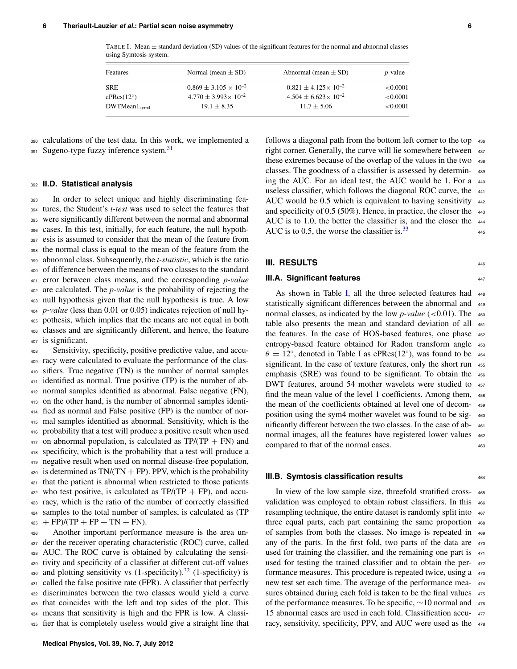| Features                                        | Normal (mean $\pm$ SD)                              | Abnormal (mean $\pm$ SD)                            | <i>p</i> -value      |
|-------------------------------------------------|-----------------------------------------------------|-----------------------------------------------------|----------------------|
| <b>SRE</b>                                      | $0.869 \pm 3.105 \times 10^{-2}$                    | $0.821 \pm 4.125 \times 10^{-2}$                    | < 0.0001             |
| $ePRes(12^{\circ})$<br>DWTMean1 <sub>sym4</sub> | $4.770 \pm 3.993 \times 10^{-2}$<br>$19.1 \pm 8.35$ | $4.504 \pm 6.623 \times 10^{-2}$<br>$11.7 \pm 5.06$ | < 0.0001<br>< 0.0001 |

TABLE I. Mean  $\pm$  standard deviation (SD) values of the significant features for the normal and abnormal classes using Symtosis system.

<sup>390</sup> calculations of the test data. In this work, we implemented a

Sugeno-type fuzzy inference system.<sup>31</sup> 391

#### <sup>392</sup> **II.D. Statistical analysis**

 In order to select unique and highly discriminating fea- tures, the Student's *t-test* was used to select the features that were significantly different between the normal and abnormal cases. In this test, initially, for each feature, the null hypoth- esis is assumed to consider that the mean of the feature from the normal class is equal to the mean of the feature from the abnormal class. Subsequently, the *t-statistic*, which is the ratio of difference between the means of two classes to the standard error between class means, and the corresponding *p-value* are calculated. The *p-value* is the probability of rejecting the null hypothesis given that the null hypothesis is true. A low *p-value* (less than 0.01 or 0.05) indicates rejection of null hy- pothesis, which implies that the means are not equal in both classes and are significantly different, and hence, the feature is significant.

 Sensitivity, specificity, positive predictive value, and accu- racy were calculated to evaluate the performance of the clas- sifiers. True negative (TN) is the number of normal samples identified as normal. True positive (TP) is the number of ab- normal samples identified as abnormal. False negative (FN), on the other hand, is the number of abnormal samples identi- fied as normal and False positive (FP) is the number of nor- mal samples identified as abnormal. Sensitivity, which is the probability that a test will produce a positive result when used on abnormal population, is calculated as TP/(TP + FN) and specificity, which is the probability that a test will produce a negative result when used on normal disease-free population, is determined as TN/(TN + FP). PPV, which is the probability that the patient is abnormal when restricted to those patients who test positive, is calculated as TP/(TP + FP), and accu- racy, which is the ratio of the number of correctly classified samples to the total number of samples, is calculated as (TP + FP)/(TP + FP + TN + FN).

 Another important performance measure is the area un- der the receiver operating characteristic (ROC) curve, called AUC. The ROC curve is obtained by calculating the sensi- tivity and specificity of a classifier at different cut-off values and plotting sensitivity vs (1-specificity).<sup>32</sup> (1-specificity) is 431 called the false positive rate (FPR). A classifier that perfectly discriminates between the two classes would yield a curve that coincides with the left and top sides of the plot. This means that sensitivity is high and the FPR is low. A classi-fier that is completely useless would give a straight line that

follows a diagonal path from the bottom left corner to the top 436 right corner. Generally, the curve will lie somewhere between 437 these extremes because of the overlap of the values in the two 438 classes. The goodness of a classifier is assessed by determin- <sup>439</sup> ing the AUC. For an ideal test, the AUC would be 1. For a <sup>440</sup> useless classifier, which follows the diagonal ROC curve, the <sup>441</sup> AUC would be 0.5 which is equivalent to having sensitivity 442 and specificity of 0.5 (50%). Hence, in practice, the closer the 443 AUC is to 1.0, the better the classifier is, and the closer the 444 AUC is to 0.5, the worse the classifier is.<sup>33</sup> 445

#### **III. RESULTS** <sup>446</sup>

#### **III.A. Significant features** 447

As shown in Table I, all the three selected features had  $448$ statistically significant differences between the abnormal and 449 normal classes, as indicated by the low  $p$ -value  $(<0.01$ ). The  $\epsilon_{450}$ table also presents the mean and standard deviation of all <sup>451</sup> the features. In the case of HOS-based features, one phase <sup>452</sup> entropy-based feature obtained for Radon transform angle 453  $\theta = 12^{\circ}$ , denoted in Table I as ePRes(12°), was found to be 454 significant. In the case of texture features, only the short run 455 emphasis (SRE) was found to be significant. To obtain the <sup>456</sup> DWT features, around 54 mother wavelets were studied to 457 find the mean value of the level 1 coefficients. Among them, 458 the mean of the coefficients obtained at level one of decom- <sup>459</sup> position using the sym4 mother wavelet was found to be sig- <sup>460</sup> nificantly different between the two classes. In the case of ab- <sup>461</sup> normal images, all the features have registered lower values 462 compared to that of the normal cases. <sup>463</sup>

#### **III.B. Symtosis classification results** 464

In view of the low sample size, threefold stratified cross- <sup>465</sup> validation was employed to obtain robust classifiers. In this 466 resampling technique, the entire dataset is randomly split into 467 three equal parts, each part containing the same proportion <sup>468</sup> of samples from both the classes. No image is repeated in <sup>469</sup> any of the parts. In the first fold, two parts of the data are <sup>470</sup> used for training the classifier, and the remaining one part is  $471$ used for testing the trained classifier and to obtain the per- <sup>472</sup> formance measures. This procedure is repeated twice, using a 473 new test set each time. The average of the performance mea- <sup>474</sup> sures obtained during each fold is taken to be the final values 475 of the performance measures. To be specific, ∼10 normal and <sup>476</sup> 15 abnormal cases are used in each fold. Classification accu- <sup>477</sup> racy, sensitivity, specificity, PPV, and AUC were used as the <sup>478</sup>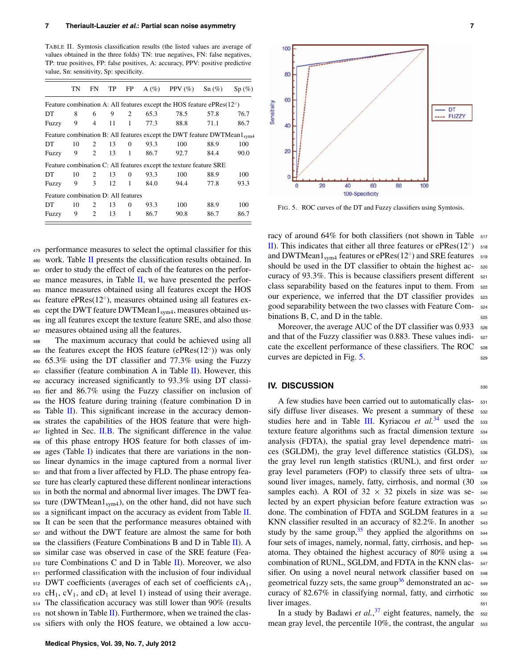TABLE II. Symtosis classification results (the listed values are average of values obtained in the three folds) TN: true negatives, FN: false negatives, TP: true positives, FP: false positives, A: accuracy, PPV: positive predictive value, Sn: sensitivity, Sp: specificity.

|                                                                    | TN                                                                                  | FN             | TP | FP       | A $(\% )$ | PPV $(\% )$                                                                    | $Sn(\%)$ | Sp(%) |
|--------------------------------------------------------------------|-------------------------------------------------------------------------------------|----------------|----|----------|-----------|--------------------------------------------------------------------------------|----------|-------|
|                                                                    |                                                                                     |                |    |          |           | Feature combination A: All features except the HOS feature $ePRes(12^{\circ})$ |          |       |
| DТ                                                                 | 8                                                                                   | 6              | 9  | 2        | 65.3      | 78.5                                                                           | 57.8     | 76.7  |
| Fuzzy                                                              | 9                                                                                   | $\overline{4}$ | 11 | 1        | 77.3      | 88.8                                                                           | 71.1     | 86.7  |
|                                                                    | Feature combination B: All features except the DWT feature DWTMean1 <sub>sym4</sub> |                |    |          |           |                                                                                |          |       |
| DТ                                                                 | 10                                                                                  | 2              | 13 | 0        | 93.3      | 100                                                                            | 88.9     | 100   |
| Fuzzy                                                              | 9                                                                                   | 2              | 13 | 1        | 86.7      | 92.7                                                                           | 84.4     | 90.0  |
| Feature combination C: All features except the texture feature SRE |                                                                                     |                |    |          |           |                                                                                |          |       |
| DT                                                                 | 10                                                                                  | 2              | 13 | $\Omega$ | 93.3      | 100                                                                            | 88.9     | 100   |
| Fuzzy                                                              | 9                                                                                   | 3              | 12 | 1        | 84.0      | 94.4                                                                           | 77.8     | 93.3  |
| Feature combination D: All features                                |                                                                                     |                |    |          |           |                                                                                |          |       |
| DТ                                                                 | 10                                                                                  | $\overline{c}$ | 13 | 0        | 93.3      | 100                                                                            | 88.9     | 100   |
| Fuzzy                                                              | 9                                                                                   | $\overline{c}$ | 13 | 1        | 86.7      | 90.8                                                                           | 86.7     | 86.7  |

 performance measures to select the optimal classifier for this work. Table II presents the classification results obtained. In order to study the effect of each of the features on the perfor- mance measures, in Table II, we have presented the perfor- mance measures obtained using all features except the HOS 484 feature ePRes(12°), measures obtained using all features ex-485 cept the DWT feature DWTMean $1_{sym4}$ , measures obtained us- ing all features except the texture feature SRE, and also those measures obtained using all the features.

 The maximum accuracy that could be achieved using all the features except the HOS feature (ePRes( $12°$ )) was only 65.3% using the DT classifier and 77.3% using the Fuzzy classifier (feature combination A in Table II). However, this accuracy increased significantly to 93.3% using DT classi- fier and 86.7% using the Fuzzy classifier on inclusion of the HOS feature during training (feature combination D in Table II). This significant increase in the accuracy demon- strates the capabilities of the HOS feature that were high-497 lighted in Sec. II.B. The significant difference in the value of this phase entropy HOS feature for both classes of im- ages (Table I) indicates that there are variations in the non- linear dynamics in the image captured from a normal liver and that from a liver affected by FLD. The phase entropy fea- ture has clearly captured these different nonlinear interactions in both the normal and abnormal liver images. The DWT fea- $_{504}$  ture (DWTMean1<sub>sym4</sub>), on the other hand, did not have such a significant impact on the accuracy as evident from Table II. It can be seen that the performance measures obtained with and without the DWT feature are almost the same for both the classifiers (Feature Combinations B and D in Table II). A similar case was observed in case of the SRE feature (Fea- ture Combinations C and D in Table II). Moreover, we also performed classification with the inclusion of four individual DWT coefficients (averages of each set of coefficients  $cA_1$ ,  $513 \text{ } \text{c}H_1$ ,  $\text{c}V_1$ , and  $\text{c}D_1$  at level 1) instead of using their average. The classification accuracy was still lower than 90% (results not shown in Table II). Furthermore, when we trained the clas-sifiers with only the HOS feature, we obtained a low accu-



FIG. 5. ROC curves of the DT and Fuzzy classifiers using Symtosis.

racy of around 64% for both classifiers (not shown in Table 517 II). This indicates that either all three features or ePRes( $12°$ ) 518 and DWTMean $1_{sym4}$  features or ePRes( $12^{\circ}$ ) and SRE features  $519$ should be used in the DT classifier to obtain the highest ac- 520 curacy of 93.3%. This is because classifiers present different  $\frac{521}{221}$ class separability based on the features input to them. From 522 our experience, we inferred that the DT classifier provides 523 good separability between the two classes with Feature Com- <sup>524</sup> binations B, C, and D in the table.  $525$ 

Moreover, the average AUC of the DT classifier was  $0.933$  526 and that of the Fuzzy classifier was 0.883. These values indicate the excellent performance of these classifiers. The ROC 528 curves are depicted in Fig.  $5.5$ 

#### **IV. DISCUSSION** 530

A few studies have been carried out to automatically clas- <sup>531</sup> sify diffuse liver diseases. We present a summary of these 532 studies here and in Table III. Kyriacou *et al.*<sup>34</sup> used the 533 texture feature algorithms such as fractal dimension texture 534 analysis (FDTA), the spatial gray level dependence matri- <sup>535</sup> ces (SGLDM), the gray level difference statistics (GLDS), <sup>536</sup> the gray level run length statistics (RUNL), and first order  $537$ gray level parameters (FOP) to classify three sets of ultra- 538 sound liver images, namely, fatty, cirrhosis, and normal (30 539 samples each). A ROI of  $32 \times 32$  pixels in size was se-  $540$ lected by an expert physician before feature extraction was  $_{541}$ done. The combination of FDTA and SGLDM features in a 542 KNN classifier resulted in an accuracy of 82.2%. In another 543 study by the same group,  $35$  they applied the algorithms on  $544$ four sets of images, namely, normal, fatty, cirrhosis, and hep- <sup>545</sup> atoma. They obtained the highest accuracy of 80% using a <sup>546</sup> combination of RUNL, SGLDM, and FDTA in the KNN clas- <sup>547</sup> sifier. On using a novel neural network classifier based on  $_{548}$ geometrical fuzzy sets, the same group<sup>36</sup> demonstrated an  $ac 548$ curacy of 82.67% in classifying normal, fatty, and cirrhotic  $\frac{1}{550}$ liver images. 551

In a study by Badawi *et al.*,<sup>37</sup> eight features, namely, the 552 mean gray level, the percentile 10%, the contrast, the angular  $553$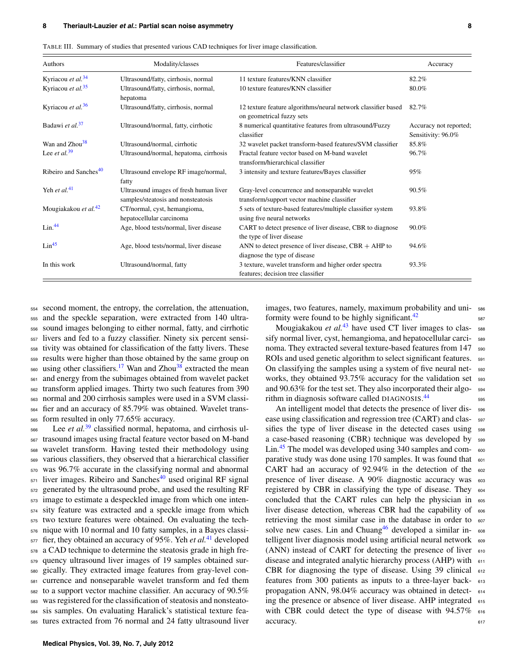| Authors                           | Modality/classes                                                             | Features/classifier                                                                            | Accuracy                                     |
|-----------------------------------|------------------------------------------------------------------------------|------------------------------------------------------------------------------------------------|----------------------------------------------|
| Kyriacou et al. $34$              | Ultrasound/fatty, cirrhosis, normal                                          | 11 texture features/KNN classifier                                                             | 82.2%                                        |
| Kyriacou et al. <sup>35</sup>     | Ultrasound/fatty, cirrhosis, normal,<br>hepatoma                             | 10 texture features/KNN classifier                                                             | 80.0%                                        |
| Kyriacou et al. $36$              | Ultrasound/fatty, cirrhosis, normal                                          | 12 texture feature algorithms/neural network classifier based<br>on geometrical fuzzy sets     | 82.7%                                        |
| Badawi et al. <sup>37</sup>       | Ultrasound/normal, fatty, cirrhotic                                          | 8 numerical quantitative features from ultrasound/Fuzzy<br>classifier                          | Accuracy not reported;<br>Sensitivity: 96.0% |
| Wan and Zhou <sup>38</sup>        | Ultrasound/normal, cirrhotic                                                 | 32 wavelet packet transform-based features/SVM classifier                                      | 85.8%                                        |
| Lee et al. $39$                   | Ultrasound/normal, hepatoma, cirrhosis                                       | Fractal feature vector based on M-band wavelet<br>transform/hierarchical classifier            | 96.7%                                        |
| Ribeiro and Sanches <sup>40</sup> | Ultrasound envelope RF image/normal,<br>fatty                                | 3 intensity and texture features/Bayes classifier                                              | 95%                                          |
| Yeh et al. <sup>41</sup>          | Ultrasound images of fresh human liver<br>samples/steatosis and nonsteatosis | Gray-level concurrence and nonseparable wavelet<br>transform/support vector machine classifier | 90.5%                                        |
| Mougiakakou et al. <sup>42</sup>  | CT/normal, cyst, hemangioma,<br>hepatocellular carcinoma                     | 5 sets of texture-based features/multiple classifier system<br>using five neural networks      | 93.8%                                        |
| Lin. <sup>44</sup>                | Age, blood tests/normal, liver disease                                       | CART to detect presence of liver disease, CBR to diagnose<br>the type of liver disease         | 90.0%                                        |
| Lin <sup>45</sup>                 | Age, blood tests/normal, liver disease                                       | ANN to detect presence of liver disease, $CBR + AHP$ to<br>diagnose the type of disease        | 94.6%                                        |
| In this work                      | Ultrasound/normal, fatty                                                     | 3 texture, wavelet transform and higher order spectra<br>features; decision tree classifier    | 93.3%                                        |

TABLE III. Summary of studies that presented various CAD techniques for liver image classification.

 second moment, the entropy, the correlation, the attenuation, and the speckle separation, were extracted from 140 ultra- sound images belonging to either normal, fatty, and cirrhotic livers and fed to a fuzzy classifier. Ninety six percent sensi- tivity was obtained for classification of the fatty livers. These results were higher than those obtained by the same group on 560 using other classifiers.<sup>17</sup> Wan and Zhou<sup>38</sup> extracted the mean and energy from the subimages obtained from wavelet packet transform applied images. Thirty two such features from 390 normal and 200 cirrhosis samples were used in a SVM classi- fier and an accuracy of 85.79% was obtained. Wavelet trans-form resulted in only 77.65% accuracy.

<sub>566</sub> Lee *et al.*<sup>39</sup> classified normal, hepatoma, and cirrhosis ul- trasound images using fractal feature vector based on M-band wavelet transform. Having tested their methodology using various classifiers, they observed that a hierarchical classifier was 96.7% accurate in the classifying normal and abnormal <sup>571</sup> liver images. Ribeiro and Sanches<sup>40</sup> used original RF signal generated by the ultrasound probe, and used the resulting RF image to estimate a despeckled image from which one inten- sity feature was extracted and a speckle image from which two texture features were obtained. On evaluating the tech- nique with 10 normal and 10 fatty samples, in a Bayes classi-577 fier, they obtained an accuracy of 95%. Yeh *et al*.<sup>41</sup> developed a CAD technique to determine the steatosis grade in high fre- quency ultrasound liver images of 19 samples obtained sur- gically. They extracted image features from gray-level con- currence and nonseparable wavelet transform and fed them to a support vector machine classifier. An accuracy of 90.5% was registered for the classification of steatosis and nonsteato- sis samples. On evaluating Haralick's statistical texture fea-tures extracted from 76 normal and 24 fatty ultrasound liver

images, two features, namely, maximum probability and uniformity were found to be highly significant. $42$ 587

Mougiakakou *et al.*<sup>43</sup> have used CT liver images to clas- 588 sify normal liver, cyst, hemangioma, and hepatocellular carci- 589 noma. They extracted several texture-based features from 147 590 ROIs and used genetic algorithm to select significant features. <sub>591</sub> On classifying the samples using a system of five neural net- <sup>592</sup> works, they obtained 93.75% accuracy for the validation set 593 and 90.63% for the test set. They also incorporated their algo- <sup>594</sup> rithm in diagnosis software called DIAGNOSIS.<sup>44</sup> 595

An intelligent model that detects the presence of liver disease using classification and regression tree (CART) and classifies the type of liver disease in the detected cases using 598 a case-based reasoning (CBR) technique was developed by <sup>599</sup> Lin.<sup>45</sup> The model was developed using 340 samples and comparative study was done using  $170$  samples. It was found that  $601$ CART had an accuracy of 92.94% in the detection of the  $602$ presence of liver disease. A 90% diagnostic accuracy was  $\frac{603}{2}$ registered by CBR in classifying the type of disease. They 604 concluded that the CART rules can help the physician in <sup>605</sup> liver disease detection, whereas CBR had the capability of 606 retrieving the most similar case in the database in order to  $607$ solve new cases. Lin and Chuang<sup>46</sup> developed a similar intelligent liver diagnosis model using artificial neural network 609 (ANN) instead of CART for detecting the presence of liver  $\epsilon_{010}$ disease and integrated analytic hierarchy process (AHP) with 611 CBR for diagnosing the type of disease. Using 39 clinical  $612$ features from 300 patients as inputs to a three-layer back- <sup>613</sup> propagation ANN, 98.04% accuracy was obtained in detect- <sup>614</sup> ing the presence or absence of liver disease. AHP integrated 615 with CBR could detect the type of disease with  $94.57\%$  616 accuracy. 617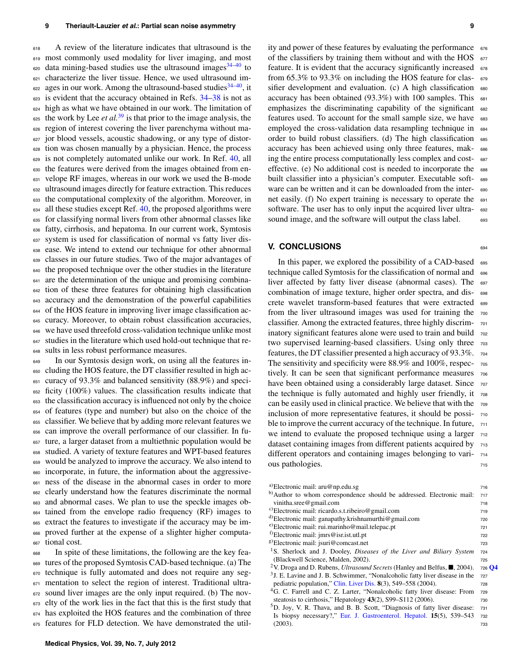A review of the literature indicates that ultrasound is the most commonly used modality for liver imaging, and most <sup>620</sup> data mining-based studies use the ultrasound images<sup>34–40</sup> to characterize the liver tissue. Hence, we used ultrasound im-<sup>622</sup> ages in our work. Among the ultrasound-based studies<sup>34–40</sup>, it is evident that the accuracy obtained in Refs.  $34-38$  is not as high as what we have obtained in our work. The limitation of the work by Lee *et al.*<sup>39</sup> <sup>625</sup> is that prior to the image analysis, the region of interest covering the liver parenchyma without ma- jor blood vessels, acoustic shadowing, or any type of distor- tion was chosen manually by a physician. Hence, the process 629 is not completely automated unlike our work. In Ref. 40, all the features were derived from the images obtained from en- velope RF images, whereas in our work we used the B-mode ultrasound images directly for feature extraction. This reduces the computational complexity of the algorithm. Moreover, in 634 all these studies except Ref. 40, the proposed algorithms were for classifying normal livers from other abnormal classes like fatty, cirrhosis, and hepatoma. In our current work, Symtosis system is used for classification of normal vs fatty liver dis- ease. We intend to extend our technique for other abnormal classes in our future studies. Two of the major advantages of the proposed technique over the other studies in the literature are the determination of the unique and promising combina- tion of these three features for obtaining high classification accuracy and the demonstration of the powerful capabilities of the HOS feature in improving liver image classification ac- curacy. Moreover, to obtain robust classification accuracies, we have used threefold cross-validation technique unlike most studies in the literature which used hold-out technique that re-sults in less robust performance measures.

 In our Symtosis design work, on using all the features in- cluding the HOS feature, the DT classifier resulted in high ac- curacy of 93.3% and balanced sensitivity (88.9%) and speci- ficity (100%) values. The classification results indicate that the classification accuracy is influenced not only by the choice of features (type and number) but also on the choice of the classifier. We believe that by adding more relevant features we can improve the overall performance of our classifier. In fu- ture, a larger dataset from a multiethnic population would be studied. A variety of texture features and WPT-based features would be analyzed to improve the accuracy. We also intend to incorporate, in future, the information about the aggressive- ness of the disease in the abnormal cases in order to more clearly understand how the features discriminate the normal and abnormal cases. We plan to use the speckle images ob- tained from the envelope radio frequency (RF) images to extract the features to investigate if the accuracy may be im- proved further at the expense of a slighter higher computa-tional cost.

 In spite of these limitations, the following are the key fea- tures of the proposed Symtosis CAD-based technique. (a) The technique is fully automated and does not require any seg- mentation to select the region of interest. Traditional ultra- sound liver images are the only input required. (b) The nov- elty of the work lies in the fact that this is the first study that has exploited the HOS features and the combination of three features for FLD detection. We have demonstrated the util-

feature. It is evident that the accuracy significantly increased <sup>678</sup> from 65.3% to 93.3% on including the HOS feature for clas- <sup>679</sup> sifier development and evaluation. (c) A high classification 680 accuracy has been obtained (93.3%) with 100 samples. This  $\epsilon_{81}$ emphasizes the discriminating capability of the significant 682 features used. To account for the small sample size, we have 683 employed the cross-validation data resampling technique in  $684$ order to build robust classifiers. (d) The high classification 685 accuracy has been achieved using only three features, mak- <sup>686</sup> ing the entire process computationally less complex and cost- <sup>687</sup> effective. (e) No additional cost is needed to incorporate the 688 built classifier into a physician's computer. Executable soft- 689 ware can be written and it can be downloaded from the internet easily. (f) No expert training is necessary to operate the  $\frac{691}{2}$ software. The user has to only input the acquired liver ultra- 692 sound image, and the software will output the class label. 693 **V. CONCLUSIONS** <sup>694</sup>

ity and power of these features by evaluating the performance  $\sigma$ <sub>676</sub> of the classifiers by training them without and with the  $HOS$  677

In this paper, we explored the possibility of a CAD-based 695 technique called Symtosis for the classification of normal and <sup>696</sup> liver affected by fatty liver disease (abnormal cases). The 697 combination of image texture, higher order spectra, and discrete wavelet transform-based features that were extracted 699 from the liver ultrasound images was used for training the 700 classifier. Among the extracted features, three highly discrim- <sup>701</sup> inatory significant features alone were used to train and build 702 two supervised learning-based classifiers. Using only three 703 features, the DT classifier presented a high accuracy of 93.3%. <sup>704</sup> The sensitivity and specificity were 88.9% and 100%, respec-  $705$ tively. It can be seen that significant performance measures 706 have been obtained using a considerably large dataset. Since  $\frac{707}{600}$ the technique is fully automated and highly user friendly, it  $\tau$ 08 can be easily used in clinical practice. We believe that with the  $\frac{709}{209}$ inclusion of more representative features, it should be possible to improve the current accuracy of the technique. In future,  $711$ we intend to evaluate the proposed technique using a larger  $712$ dataset containing images from different patients acquired by  $\frac{7}{3}$ different operators and containing images belonging to vari- <sup>714</sup> ous pathologies. The matrix of the state of the state of the state state of the state state state state state state state state state state state state state state state state state state state state state state state stat

| a)Electronic mail: aru@np.edu.sg                                                                           | 716           |
|------------------------------------------------------------------------------------------------------------|---------------|
| b) Author to whom correspondence should be addressed. Electronic mail:                                     | 717           |
| vinitha.sree@gmail.com                                                                                     | 718           |
| <sup>c)</sup> Electronic mail: ricardo.s.t.ribeiro@gmail.com                                               | 719           |
| <sup>d)</sup> Electronic mail: ganapathy.krishnamurthi@gmail.com                                           | 720           |
| e)Electronic mail: rui.marinho@mail.telepac.pt                                                             | 721           |
| <sup>f)</sup> Electronic mail: jmrs@isr.ist.utl.pt                                                         | 722           |
| <sup>g)</sup> Electronic mail: jsuri@comcast.net                                                           | 723           |
| <sup>1</sup> S. Sherlock and J. Dooley, Diseases of the Liver and Biliary System                           | 724           |
| (Blackwell Science, Malden, 2002).                                                                         | 725           |
| <sup>2</sup> V. Droga and D. Rubens, <i>Ultrasound Secrets</i> (Hanley and Belfus, $\blacksquare$ , 2004). | 726 <b>Q4</b> |
| <sup>3</sup> J. E. Lavine and J. B. Schwimmer, "Nonalcoholic fatty liver disease in the                    | 727           |
| pediatric population," Clin. Liver Dis. 8(3), 549–558 (2004).                                              | 728           |
| <sup>4</sup> G. C. Farrell and C. Z. Larter, "Nonalcoholic fatty liver disease: From                       | 729           |
| steatosis to cirrhosis," Hepatology $43(2)$ , S99–S112 (2006).                                             | 730           |
| <sup>5</sup> D. Joy, V. R. Thava, and B. B. Scott, "Diagnosis of fatty liver disease:                      | 731           |
| Is biopsy necessary?," Eur. J. Gastroenterol. Hepatol. 15(5), 539–543                                      | 732           |
| (2003).                                                                                                    | 733           |